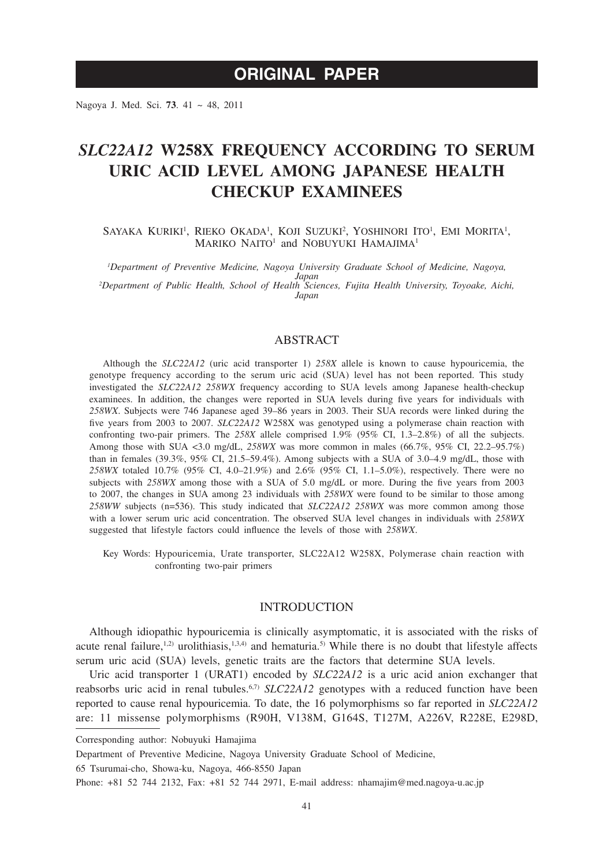# **ORIGINAL PAPER**

Nagoya J. Med. Sci. **73**. 41 ~ 48, 2011

# *SLC22A12* **W258X FREQUENCY ACCORDING TO SERUM URIC ACID LEVEL AMONG JAPANESE HEALTH CHECKUP EXAMINEES**

SAYAKA KURIKI<sup>1</sup>, RIEKO OKADA<sup>1</sup>, KOJI SUZUKI<sup>2</sup>, YOSHINORI ITO<sup>1</sup>, EMI MORITA<sup>1</sup>, MARIKO NAITO<sup>1</sup> and NOBUYUKI HAMAJIMA<sup>1</sup>

*1 Department of Preventive Medicine, Nagoya University Graduate School of Medicine, Nagoya, Japan <sup>2</sup> Department of Public Health, School of Health Sciences, Fujita Health University, Toyoake, Aichi, Japan*

# ABSTRACT

Although the *SLC22A12* (uric acid transporter 1) *258X* allele is known to cause hypouricemia, the genotype frequency according to the serum uric acid (SUA) level has not been reported. This study investigated the *SLC22A12 258WX* frequency according to SUA levels among Japanese health-checkup examinees. In addition, the changes were reported in SUA levels during five years for individuals with *258WX*. Subjects were 746 Japanese aged 39–86 years in 2003. Their SUA records were linked during the five years from 2003 to 2007. *SLC22A12* W258X was genotyped using a polymerase chain reaction with confronting two-pair primers. The *258X* allele comprised 1.9% (95% CI, 1.3–2.8%) of all the subjects. Among those with SUA <3.0 mg/dL, *258WX* was more common in males (66.7%, 95% CI, 22.2–95.7%) than in females (39.3%, 95% CI, 21.5–59.4%). Among subjects with a SUA of 3.0–4.9 mg/dL, those with *258WX* totaled 10.7% (95% CI, 4.0–21.9%) and 2.6% (95% CI, 1.1–5.0%), respectively. There were no subjects with *258WX* among those with a SUA of 5.0 mg/dL or more. During the five years from 2003 to 2007, the changes in SUA among 23 individuals with *258WX* were found to be similar to those among *258WW* subjects (n=536). This study indicated that *SLC22A12 258WX* was more common among those with a lower serum uric acid concentration. The observed SUA level changes in individuals with *258WX* suggested that lifestyle factors could influence the levels of those with *258WX*.

Key Words: Hypouricemia, Urate transporter, SLC22A12 W258X, Polymerase chain reaction with confronting two-pair primers

## INTRODUCTION

Although idiopathic hypouricemia is clinically asymptomatic, it is associated with the risks of acute renal failure, $1,2)$  urolithiasis, $1,3,4)$  and hematuria.<sup>5)</sup> While there is no doubt that lifestyle affects serum uric acid (SUA) levels, genetic traits are the factors that determine SUA levels.

Uric acid transporter 1 (URAT1) encoded by *SLC22A12* is a uric acid anion exchanger that reabsorbs uric acid in renal tubules.<sup>6,7)</sup> *SLC22A12* genotypes with a reduced function have been reported to cause renal hypouricemia. To date, the 16 polymorphisms so far reported in *SLC22A12* are: 11 missense polymorphisms (R90H, V138M, G164S, T127M, A226V, R228E, E298D,

65 Tsurumai-cho, Showa-ku, Nagoya, 466-8550 Japan

Corresponding author: Nobuyuki Hamajima

Department of Preventive Medicine, Nagoya University Graduate School of Medicine,

Phone: +81 52 744 2132, Fax: +81 52 744 2971, E-mail address: nhamajim@med.nagoya-u.ac.jp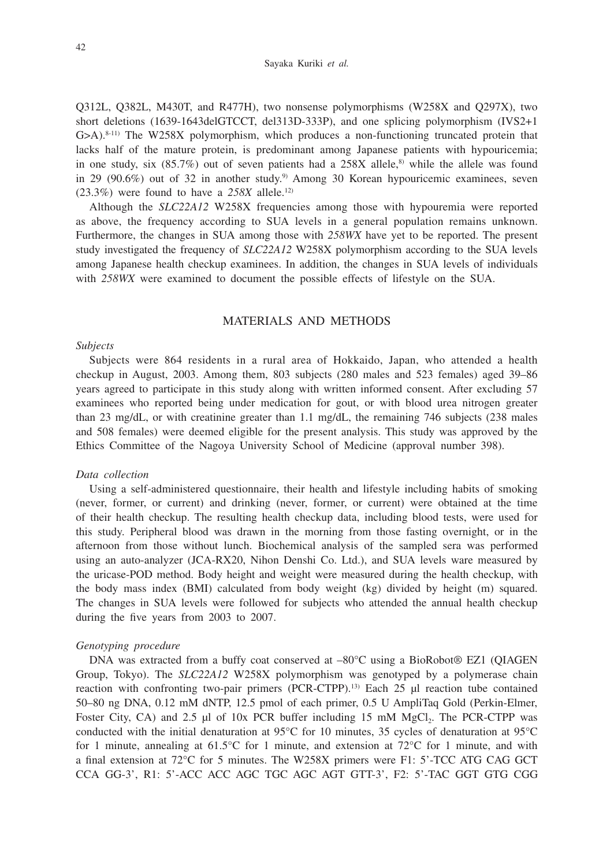#### Sayaka Kuriki *et al.*

Q312L, Q382L, M430T, and R477H), two nonsense polymorphisms (W258X and Q297X), two short deletions (1639-1643delGTCCT, del313D-333P), and one splicing polymorphism (IVS2+1  $G>A$ ).<sup>8-11)</sup> The W258X polymorphism, which produces a non-functioning truncated protein that lacks half of the mature protein, is predominant among Japanese patients with hypouricemia; in one study, six  $(85.7%)$  out of seven patients had a 258X allele,<sup>8)</sup> while the allele was found in 29 (90.6%) out of 32 in another study.9) Among 30 Korean hypouricemic examinees, seven  $(23.3\%)$  were found to have a  $258X$  allele.<sup>12)</sup>

Although the *SLC22A12* W258X frequencies among those with hypouremia were reported as above, the frequency according to SUA levels in a general population remains unknown. Furthermore, the changes in SUA among those with *258WX* have yet to be reported. The present study investigated the frequency of *SLC22A12* W258X polymorphism according to the SUA levels among Japanese health checkup examinees. In addition, the changes in SUA levels of individuals with *258WX* were examined to document the possible effects of lifestyle on the SUA.

# MATERIALS AND METHODS

### *Subjects*

Subjects were 864 residents in a rural area of Hokkaido, Japan, who attended a health checkup in August, 2003. Among them, 803 subjects (280 males and 523 females) aged 39–86 years agreed to participate in this study along with written informed consent. After excluding 57 examinees who reported being under medication for gout, or with blood urea nitrogen greater than 23 mg/dL, or with creatinine greater than 1.1 mg/dL, the remaining 746 subjects (238 males and 508 females) were deemed eligible for the present analysis. This study was approved by the Ethics Committee of the Nagoya University School of Medicine (approval number 398).

#### *Data collection*

Using a self-administered questionnaire, their health and lifestyle including habits of smoking (never, former, or current) and drinking (never, former, or current) were obtained at the time of their health checkup. The resulting health checkup data, including blood tests, were used for this study. Peripheral blood was drawn in the morning from those fasting overnight, or in the afternoon from those without lunch. Biochemical analysis of the sampled sera was performed using an auto-analyzer (JCA-RX20, Nihon Denshi Co. Ltd.), and SUA levels ware measured by the uricase-POD method. Body height and weight were measured during the health checkup, with the body mass index (BMI) calculated from body weight (kg) divided by height (m) squared. The changes in SUA levels were followed for subjects who attended the annual health checkup during the five years from 2003 to 2007.

### *Genotyping procedure*

DNA was extracted from a buffy coat conserved at –80°C using a BioRobot® EZ1 (QIAGEN Group, Tokyo). The *SLC22A12* W258X polymorphism was genotyped by a polymerase chain reaction with confronting two-pair primers (PCR-CTPP).13) Each 25 µl reaction tube contained 50–80 ng DNA, 0.12 mM dNTP, 12.5 pmol of each primer, 0.5 U AmpliTaq Gold (Perkin-Elmer, Foster City, CA) and 2.5  $\mu$ l of 10x PCR buffer including 15 mM MgCl<sub>2</sub>. The PCR-CTPP was conducted with the initial denaturation at 95°C for 10 minutes, 35 cycles of denaturation at 95°C for 1 minute, annealing at  $61.5^{\circ}$ C for 1 minute, and extension at  $72^{\circ}$ C for 1 minute, and with a final extension at 72°C for 5 minutes. The W258X primers were F1: 5'-TCC ATG CAG GCT CCA GG-3', R1: 5'-ACC ACC AGC TGC AGC AGT GTT-3', F2: 5'-TAC GGT GTG CGG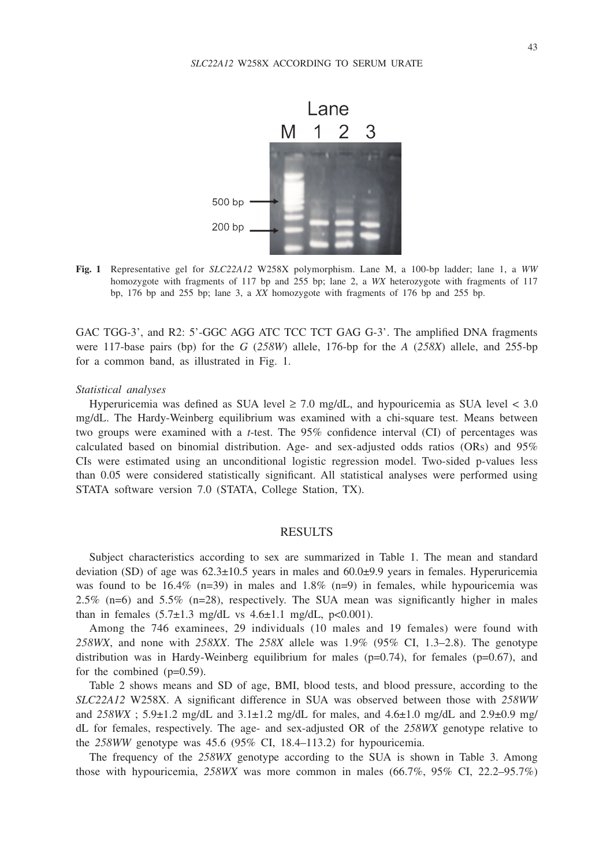

**Fig. 1** Representative gel for *SLC22A12* W258X polymorphism. Lane M, a 100-bp ladder; lane 1, a *WW* homozygote with fragments of 117 bp and 255 bp; lane 2, a *WX* heterozygote with fragments of 117 bp, 176 bp and 255 bp; lane 3, a *XX* homozygote with fragments of 176 bp and 255 bp.

GAC TGG-3', and R2: 5'-GGC AGG ATC TCC TCT GAG G-3'. The amplified DNA fragments were 117-base pairs (bp) for the *G* (*258W*) allele, 176-bp for the *A* (*258X*) allele, and 255-bp for a common band, as illustrated in Fig. 1.

#### *Statistical analyses*

Hyperuricemia was defined as SUA level  $\geq 7.0$  mg/dL, and hypouricemia as SUA level  $\lt 3.0$ mg/dL. The Hardy-Weinberg equilibrium was examined with a chi-square test. Means between two groups were examined with a *t*-test. The 95% confidence interval (CI) of percentages was calculated based on binomial distribution. Age- and sex-adjusted odds ratios (ORs) and 95% CIs were estimated using an unconditional logistic regression model. Two-sided p-values less than 0.05 were considered statistically significant. All statistical analyses were performed using STATA software version 7.0 (STATA, College Station, TX).

### RESULTS

Subject characteristics according to sex are summarized in Table 1. The mean and standard deviation (SD) of age was  $62.3 \pm 10.5$  years in males and  $60.0 \pm 9.9$  years in females. Hyperuricemia was found to be  $16.4\%$  (n=39) in males and  $1.8\%$  (n=9) in females, while hypouricemia was 2.5% (n=6) and 5.5% (n=28), respectively. The SUA mean was significantly higher in males than in females  $(5.7\pm1.3 \text{ mg/dL vs } 4.6\pm1.1 \text{ mg/dL, p<0.001}).$ 

Among the 746 examinees, 29 individuals (10 males and 19 females) were found with *258WX*, and none with *258XX*. The *258X* allele was 1.9% (95% CI, 1.3–2.8). The genotype distribution was in Hardy-Weinberg equilibrium for males ( $p=0.74$ ), for females ( $p=0.67$ ), and for the combined (p=0.59).

Table 2 shows means and SD of age, BMI, blood tests, and blood pressure, according to the *SLC22A12* W258X. A significant difference in SUA was observed between those with *258WW* and  $258WX$ ;  $5.9\pm1.2$  mg/dL and  $3.1\pm1.2$  mg/dL for males, and  $4.6\pm1.0$  mg/dL and  $2.9\pm0.9$  mg/ dL for females, respectively. The age- and sex-adjusted OR of the *258WX* genotype relative to the *258WW* genotype was 45.6 (95% CI, 18.4–113.2) for hypouricemia.

The frequency of the *258WX* genotype according to the SUA is shown in Table 3. Among those with hypouricemia, *258WX* was more common in males (66.7%, 95% CI, 22.2–95.7%)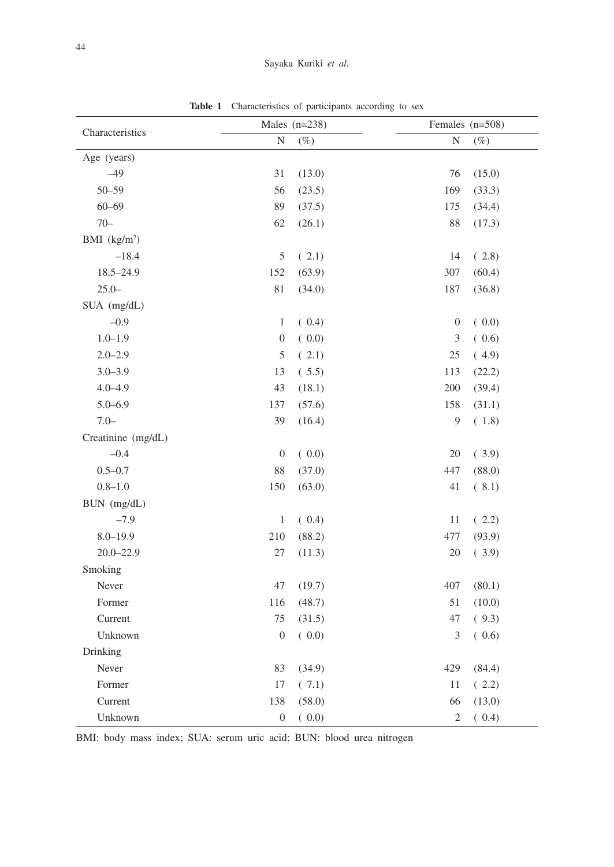| Characteristics    |                  | Males $(n=238)$ | Females (n=508)           |
|--------------------|------------------|-----------------|---------------------------|
|                    | N                | $(\%)$          | N<br>$(\%)$               |
| Age (years)        |                  |                 |                           |
| $-49$              | 31               | (13.0)          | 76<br>(15.0)              |
| $50 - 59$          | 56               | (23.5)          | 169<br>(33.3)             |
| $60 - 69$          | 89               | (37.5)          | 175<br>(34.4)             |
| $70 -$             | 62               | (26.1)          | 88<br>(17.3)              |
| BMI $(kg/m2)$      |                  |                 |                           |
| $-18.4$            | $\mathfrak s$    | (2.1)           | (2.8)<br>14               |
| $18.5 - 24.9$      | 152              | (63.9)          | 307<br>(60.4)             |
| $25.0 -$           | 81               | (34.0)          | 187<br>(36.8)             |
| SUA (mg/dL)        |                  |                 |                           |
| $-0.9$             | $\mathbf{1}$     | (0.4)           | (0.0)<br>$\boldsymbol{0}$ |
| $1.0 - 1.9$        | $\boldsymbol{0}$ | (0.0)           | 3<br>(0.6)                |
| $2.0 - 2.9$        | 5                | (2.1)           | 25<br>(4.9)               |
| $3.0 - 3.9$        | 13               | (5.5)           | 113<br>(22.2)             |
| $4.0 - 4.9$        | 43               | (18.1)          | 200<br>(39.4)             |
| $5.0 - 6.9$        | 137              | (57.6)          | 158<br>(31.1)             |
| $7.0 -$            | 39               | (16.4)          | 9<br>(1.8)                |
| Creatinine (mg/dL) |                  |                 |                           |
| $-0.4$             | $\boldsymbol{0}$ | (0.0)           | 20<br>(3.9)               |
| $0.5 - 0.7$        | 88               | (37.0)          | 447<br>(88.0)             |
| $0.8 - 1.0$        | 150              | (63.0)          | 41<br>(8.1)               |
| BUN (mg/dL)        |                  |                 |                           |
| $-7.9$             | $\mathbf{1}$     | (0.4)           | (2.2)<br>11               |
| $8.0 - 19.9$       | 210              | (88.2)          | 477<br>(93.9)             |
| $20.0 - 22.9$      | 27               | (11.3)          | 20<br>(3.9)               |
| Smoking            |                  |                 |                           |
| Never              | 47               | (19.7)          | 407<br>(80.1)             |
| Former             | 116              | (48.7)          | 51<br>(10.0)              |
| Current            | 75               | (31.5)          | 47<br>(9.3)               |
| Unknown            | $\boldsymbol{0}$ | (0.0)           | 3<br>(0.6)                |
| Drinking           |                  |                 |                           |
| Never              | 83               | (34.9)          | 429<br>(84.4)             |
| Former             | 17               | (7.1)           | $11\,$<br>(2.2)           |
| Current            | 138              | (58.0)          | 66<br>(13.0)              |
| Unknown            | $\boldsymbol{0}$ | (0.0)           | $\mathfrak{2}$<br>(0.4)   |

**Table 1** Characteristics of participants according to sex

BMI: body mass index; SUA: serum uric acid; BUN: blood urea nitrogen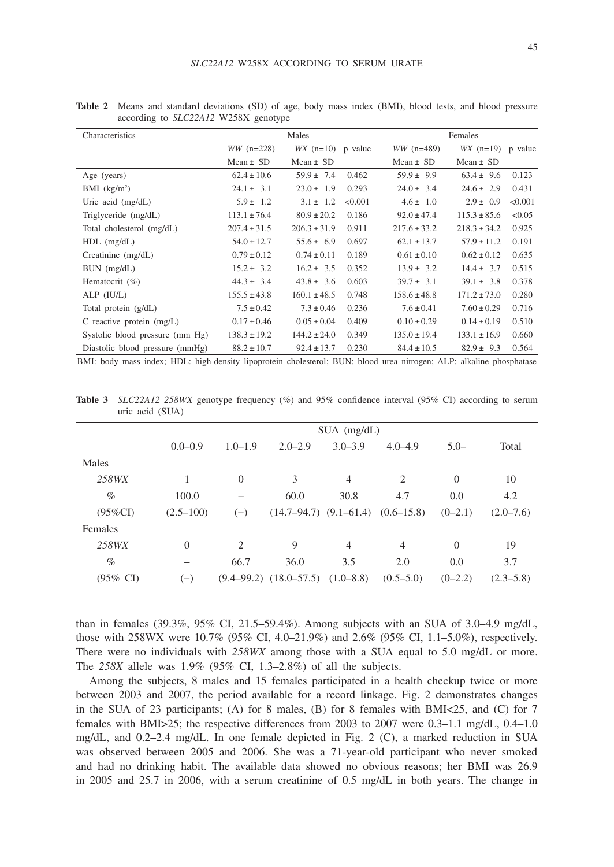| Characteristics                 | Males            |                  |         | Females          |                  |         |  |
|---------------------------------|------------------|------------------|---------|------------------|------------------|---------|--|
|                                 | $WW (n=228)$     | $WX$ (n=10)      | p value | $WW (n=489)$     | $WX$ (n=19)      | p value |  |
|                                 | $Mean \pm SD$    | Mean $\pm$ SD    |         | Mean $\pm$ SD    | $Mean \pm SD$    |         |  |
| Age (years)                     | $62.4 \pm 10.6$  | $59.9 \pm 7.4$   | 0.462   | $59.9 \pm 9.9$   | $63.4 \pm 9.6$   | 0.123   |  |
| $BMI$ (kg/m <sup>2</sup> )      | $24.1 \pm 3.1$   | $23.0 \pm 1.9$   | 0.293   | $24.0 \pm 3.4$   | $24.6 \pm 2.9$   | 0.431   |  |
| Uric acid $(mg/dL)$             | $5.9 \pm 1.2$    | $3.1 \pm 1.2$    | < 0.001 | $4.6 \pm 1.0$    | $2.9 \pm 0.9$    | < 0.001 |  |
| Triglyceride (mg/dL)            | $113.1 \pm 76.4$ | $80.9 \pm 20.2$  | 0.186   | $92.0 \pm 47.4$  | $115.3 \pm 85.6$ | < 0.05  |  |
| Total cholesterol (mg/dL)       | $207.4 \pm 31.5$ | $206.3 \pm 31.9$ | 0.911   | $217.6 \pm 33.2$ | $218.3 \pm 34.2$ | 0.925   |  |
| $HDL$ (mg/dL)                   | $54.0 \pm 12.7$  | $55.6 \pm 6.9$   | 0.697   | $62.1 \pm 13.7$  | $57.9 \pm 11.2$  | 0.191   |  |
| Creatinine (mg/dL)              | $0.79 \pm 0.12$  | $0.74 \pm 0.11$  | 0.189   | $0.61 \pm 0.10$  | $0.62 \pm 0.12$  | 0.635   |  |
| $BUN$ (mg/dL)                   | $15.2 \pm 3.2$   | $16.2 \pm 3.5$   | 0.352   | $13.9 \pm 3.2$   | $14.4 \pm 3.7$   | 0.515   |  |
| Hematocrit $(\% )$              | $44.3 \pm 3.4$   | $43.8 \pm 3.6$   | 0.603   | $39.7 \pm 3.1$   | $39.1 \pm 3.8$   | 0.378   |  |
| ALP (IU/L)                      | $155.5 \pm 43.8$ | $160.1 \pm 48.5$ | 0.748   | $158.6 \pm 48.8$ | $171.2 \pm 73.0$ | 0.280   |  |
| Total protein (g/dL)            | $7.5 \pm 0.42$   | $7.3 \pm 0.46$   | 0.236   | $7.6 \pm 0.41$   | $7.60 \pm 0.29$  | 0.716   |  |
| C reactive protein (mg/L)       | $0.17 \pm 0.46$  | $0.05 \pm 0.04$  | 0.409   | $0.10 \pm 0.29$  | $0.14 \pm 0.19$  | 0.510   |  |
| Systolic blood pressure (mm Hg) | $138.3 \pm 19.2$ | $144.2 \pm 24.0$ | 0.349   | $135.0 \pm 19.4$ | $133.1 \pm 16.9$ | 0.660   |  |
| Diastolic blood pressure (mmHg) | $88.2 \pm 10.7$  | $92.4 \pm 13.7$  | 0.230   | $84.4 \pm 10.5$  | $82.9 \pm 9.3$   | 0.564   |  |

**Table 2** Means and standard deviations (SD) of age, body mass index (BMI), blood tests, and blood pressure according to *SLC22A12* W258X genotype

BMI: body mass index; HDL: high-density lipoprotein cholesterol; BUN: blood urea nitrogen; ALP: alkaline phosphatase

|                     | $SUA$ (mg/dL)  |                               |                                         |                |                |           |               |  |
|---------------------|----------------|-------------------------------|-----------------------------------------|----------------|----------------|-----------|---------------|--|
|                     | $0.0 - 0.9$    | $1.0 - 1.9$                   | $2.0 - 2.9$                             | $3.0 - 3.9$    | $4.0 - 4.9$    | $5.0-$    | Total         |  |
| Males               |                |                               |                                         |                |                |           |               |  |
| 258WX               |                | $\Omega$                      | 3                                       | $\overline{4}$ | 2              | $\Omega$  | 10            |  |
| $\%$                | 100.0          |                               | 60.0                                    | 30.8           | 4.7            | 0.0       | 4.2           |  |
| $(95\%CI)$          | $(2.5 - 100)$  | $(-)$                         | $(14.7-94.7)$ $(9.1-61.4)$ $(0.6-15.8)$ |                |                | $(0-2.1)$ | $(2.0 - 7.6)$ |  |
| Females             |                |                               |                                         |                |                |           |               |  |
| 258WX               | $\overline{0}$ | $\mathfrak{D}_{\mathfrak{p}}$ | 9                                       | $\overline{4}$ | $\overline{4}$ | $\Omega$  | 19            |  |
| $\%$                |                | 66.7                          | 36.0                                    | 3.5            | 2.0            | 0.0       | 3.7           |  |
| $(95\% \text{ CI})$ | $(-)$          |                               | $(9.4 - 99.2)$ $(18.0 - 57.5)$          | $(1.0 - 8.8)$  | $(0.5-5.0)$    | $(0-2.2)$ | $(2.3 - 5.8)$ |  |

**Table 3** *SLC22A12 258WX* genotype frequency (%) and 95% confidence interval (95% CI) according to serum uric acid (SUA)

than in females (39.3%, 95% CI, 21.5–59.4%). Among subjects with an SUA of 3.0–4.9 mg/dL, those with 258WX were 10.7% (95% CI, 4.0–21.9%) and 2.6% (95% CI, 1.1–5.0%), respectively. There were no individuals with *258WX* among those with a SUA equal to 5.0 mg/dL or more. The *258X* allele was 1.9% (95% CI, 1.3–2.8%) of all the subjects.

Among the subjects, 8 males and 15 females participated in a health checkup twice or more between 2003 and 2007, the period available for a record linkage. Fig. 2 demonstrates changes in the SUA of 23 participants; (A) for 8 males, (B) for 8 females with BMI<25, and (C) for 7 females with BMI>25; the respective differences from 2003 to 2007 were 0.3–1.1 mg/dL, 0.4–1.0 mg/dL, and 0.2–2.4 mg/dL. In one female depicted in Fig. 2 (C), a marked reduction in SUA was observed between 2005 and 2006. She was a 71-year-old participant who never smoked and had no drinking habit. The available data showed no obvious reasons; her BMI was 26.9 in 2005 and 25.7 in 2006, with a serum creatinine of 0.5 mg/dL in both years. The change in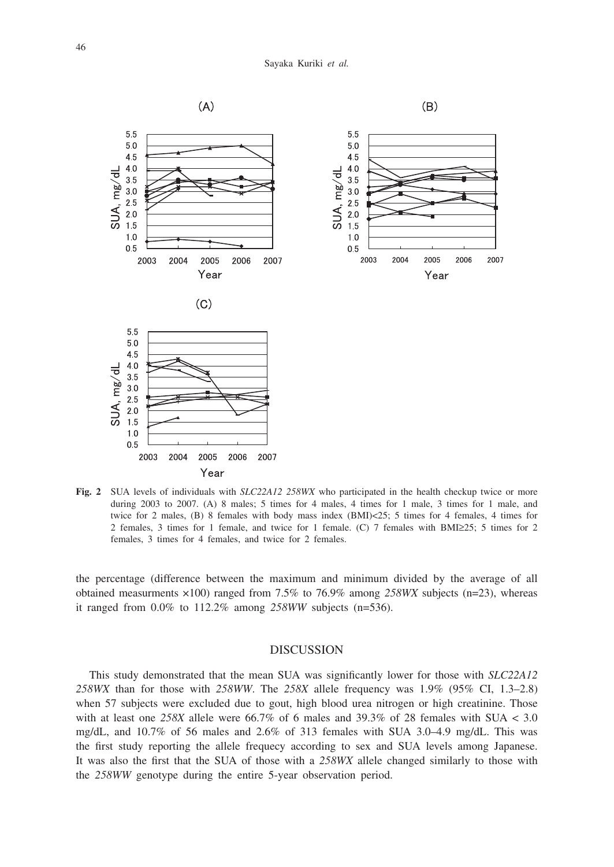

**Fig. 2** SUA levels of individuals with *SLC22A12 258WX* who participated in the health checkup twice or more during 2003 to 2007. (A) 8 males; 5 times for 4 males, 4 times for 1 male, 3 times for 1 male, and twice for 2 males, (B) 8 females with body mass index (BMI)<25; 5 times for 4 females, 4 times for 2 females, 3 times for 1 female, and twice for 1 female. (C) 7 females with BMI≥25; 5 times for 2 females, 3 times for 4 females, and twice for 2 females.

the percentage (difference between the maximum and minimum divided by the average of all obtained measurments ×100) ranged from 7.5% to 76.9% among *258WX* subjects (n=23), whereas it ranged from 0.0% to 112.2% among *258WW* subjects (n=536).

## DISCUSSION

This study demonstrated that the mean SUA was significantly lower for those with *SLC22A12 258WX* than for those with *258WW*. The *258X* allele frequency was 1.9% (95% CI, 1.3–2.8) when 57 subjects were excluded due to gout, high blood urea nitrogen or high creatinine. Those with at least one  $258X$  allele were  $66.7\%$  of 6 males and  $39.3\%$  of 28 females with SUA < 3.0 mg/dL, and 10.7% of 56 males and 2.6% of 313 females with SUA 3.0–4.9 mg/dL. This was the first study reporting the allele frequecy according to sex and SUA levels among Japanese. It was also the first that the SUA of those with a *258WX* allele changed similarly to those with the *258WW* genotype during the entire 5-year observation period.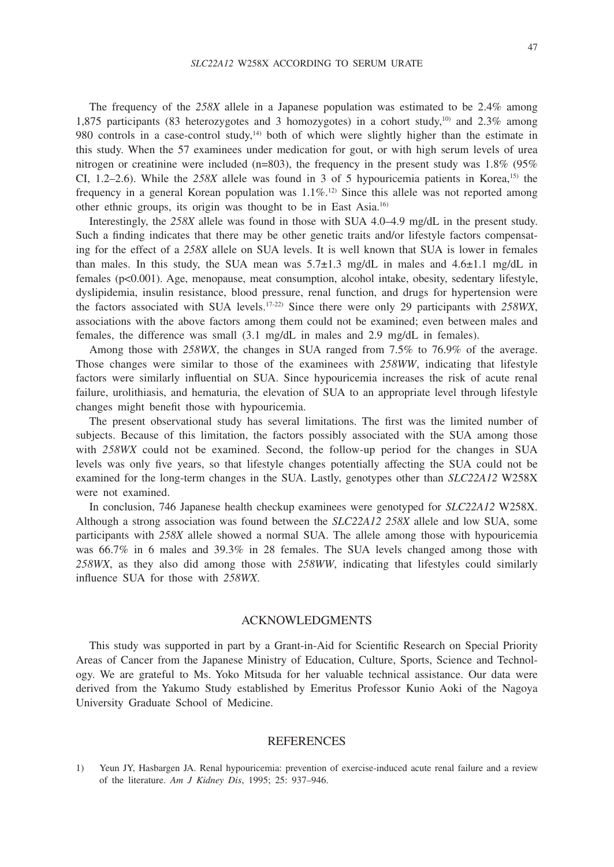The frequency of the *258X* allele in a Japanese population was estimated to be 2.4% among 1,875 participants (83 heterozygotes and 3 homozygotes) in a cohort study,<sup>10)</sup> and 2.3% among 980 controls in a case-control study,<sup>14</sup> both of which were slightly higher than the estimate in this study. When the 57 examinees under medication for gout, or with high serum levels of urea nitrogen or creatinine were included (n=803), the frequency in the present study was  $1.8\%$  (95%) CI,  $1.2-2.6$ ). While the  $258X$  allele was found in 3 of 5 hypouricemia patients in Korea,<sup>15)</sup> the frequency in a general Korean population was  $1.1\%$ <sup>[2]</sup>. Since this allele was not reported among other ethnic groups, its origin was thought to be in East Asia.16)

Interestingly, the *258X* allele was found in those with SUA 4.0–4.9 mg/dL in the present study. Such a finding indicates that there may be other genetic traits and/or lifestyle factors compensating for the effect of a *258X* allele on SUA levels. It is well known that SUA is lower in females than males. In this study, the SUA mean was  $5.7\pm1.3$  mg/dL in males and  $4.6\pm1.1$  mg/dL in females (p<0.001). Age, menopause, meat consumption, alcohol intake, obesity, sedentary lifestyle, dyslipidemia, insulin resistance, blood pressure, renal function, and drugs for hypertension were the factors associated with SUA levels.17-22) Since there were only 29 participants with *258WX*, associations with the above factors among them could not be examined; even between males and females, the difference was small (3.1 mg/dL in males and 2.9 mg/dL in females).

Among those with *258WX*, the changes in SUA ranged from 7.5% to 76.9% of the average. Those changes were similar to those of the examinees with *258WW*, indicating that lifestyle factors were similarly influential on SUA. Since hypouricemia increases the risk of acute renal failure, urolithiasis, and hematuria, the elevation of SUA to an appropriate level through lifestyle changes might benefit those with hypouricemia.

The present observational study has several limitations. The first was the limited number of subjects. Because of this limitation, the factors possibly associated with the SUA among those with *258WX* could not be examined. Second, the follow-up period for the changes in SUA levels was only five years, so that lifestyle changes potentially affecting the SUA could not be examined for the long-term changes in the SUA. Lastly, genotypes other than *SLC22A12* W258X were not examined.

In conclusion, 746 Japanese health checkup examinees were genotyped for *SLC22A12* W258X. Although a strong association was found between the *SLC22A12 258X* allele and low SUA, some participants with *258X* allele showed a normal SUA. The allele among those with hypouricemia was 66.7% in 6 males and 39.3% in 28 females. The SUA levels changed among those with *258WX*, as they also did among those with *258WW*, indicating that lifestyles could similarly influence SUA for those with *258WX*.

### ACKNOWLEDGMENTS

This study was supported in part by a Grant-in-Aid for Scientific Research on Special Priority Areas of Cancer from the Japanese Ministry of Education, Culture, Sports, Science and Technology. We are grateful to Ms. Yoko Mitsuda for her valuable technical assistance. Our data were derived from the Yakumo Study established by Emeritus Professor Kunio Aoki of the Nagoya University Graduate School of Medicine.

#### REFERENCES

1) Yeun JY, Hasbargen JA. Renal hypouricemia: prevention of exercise-induced acute renal failure and a review of the literature. *Am J Kidney Dis*, 1995; 25: 937–946.